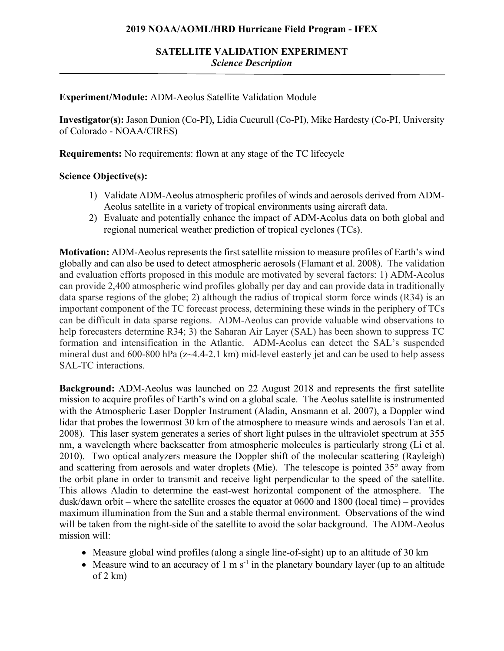## **2019 NOAA/AOML/HRD Hurricane Field Program - IFEX**

### **Experiment/Module:** ADM-Aeolus Satellite Validation Module

**Investigator(s):** Jason Dunion (Co-PI), Lidia Cucurull (Co-PI), Mike Hardesty (Co-PI, University of Colorado - NOAA/CIRES)

**Requirements:** No requirements: flown at any stage of the TC lifecycle

## **Science Objective(s):**

- 1) Validate ADM-Aeolus atmospheric profiles of winds and aerosols derived from ADM-Aeolus satellite in a variety of tropical environments using aircraft data.
- 2) Evaluate and potentially enhance the impact of ADM-Aeolus data on both global and regional numerical weather prediction of tropical cyclones (TCs).

**Motivation:** ADM-Aeolus represents the first satellite mission to measure profiles of Earth's wind globally and can also be used to detect atmospheric aerosols (Flamant et al. 2008). The validation and evaluation efforts proposed in this module are motivated by several factors: 1) ADM-Aeolus can provide 2,400 atmospheric wind profiles globally per day and can provide data in traditionally data sparse regions of the globe; 2) although the radius of tropical storm force winds (R34) is an important component of the TC forecast process, determining these winds in the periphery of TCs can be difficult in data sparse regions. ADM-Aeolus can provide valuable wind observations to help forecasters determine R34; 3) the Saharan Air Layer (SAL) has been shown to suppress TC formation and intensification in the Atlantic. ADM-Aeolus can detect the SAL's suspended mineral dust and 600-800 hPa (z~4.4-2.1 km) mid-level easterly jet and can be used to help assess SAL-TC interactions.

**Background:** ADM-Aeolus was launched on 22 August 2018 and represents the first satellite mission to acquire profiles of Earth's wind on a global scale. The Aeolus satellite is instrumented with the Atmospheric Laser Doppler Instrument (Aladin, Ansmann et al. 2007), a Doppler wind lidar that probes the lowermost 30 km of the atmosphere to measure winds and aerosols Tan et al. 2008). This laser system generates a series of short light pulses in the ultraviolet spectrum at 355 nm, a wavelength where backscatter from atmospheric molecules is particularly strong (Li et al. 2010). Two optical analyzers measure the Doppler shift of the molecular scattering (Rayleigh) and scattering from aerosols and water droplets (Mie). The telescope is pointed 35° away from the orbit plane in order to transmit and receive light perpendicular to the speed of the satellite. This allows Aladin to determine the east-west horizontal component of the atmosphere. The dusk/dawn orbit – where the satellite crosses the equator at 0600 and 1800 (local time) – provides maximum illumination from the Sun and a stable thermal environment. Observations of the wind will be taken from the night-side of the satellite to avoid the solar background. The ADM-Aeolus mission will:

- Measure global wind profiles (along a single line-of-sight) up to an altitude of 30 km
- Measure wind to an accuracy of 1 m  $s^{-1}$  in the planetary boundary layer (up to an altitude of  $2 \text{ km}$ )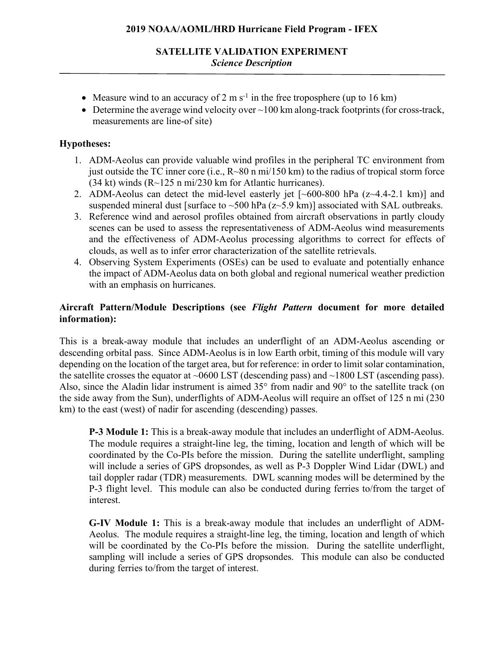- Measure wind to an accuracy of 2 m s<sup>-1</sup> in the free troposphere (up to 16 km)
- Determine the average wind velocity over  $\sim$  100 km along-track footprints (for cross-track, measurements are line-of site)

## **Hypotheses:**

- 1. ADM-Aeolus can provide valuable wind profiles in the peripheral TC environment from just outside the TC inner core (i.e.,  $R \sim 80$  n mi/150 km) to the radius of tropical storm force (34 kt) winds (R~125 n mi/230 km for Atlantic hurricanes).
- 2. ADM-Aeolus can detect the mid-level easterly jet  $\sim 600-800$  hPa  $(z \sim 4.4-2.1 \text{ km})$  and suspended mineral dust [surface to  $\sim$ 500 hPa (z $\sim$ 5.9 km)] associated with SAL outbreaks.
- 3. Reference wind and aerosol profiles obtained from aircraft observations in partly cloudy scenes can be used to assess the representativeness of ADM-Aeolus wind measurements and the effectiveness of ADM-Aeolus processing algorithms to correct for effects of clouds, as well as to infer error characterization of the satellite retrievals.
- 4. Observing System Experiments (OSEs) can be used to evaluate and potentially enhance the impact of ADM-Aeolus data on both global and regional numerical weather prediction with an emphasis on hurricanes.

# **Aircraft Pattern/Module Descriptions (see** *Flight Pattern* **document for more detailed information):**

This is a break-away module that includes an underflight of an ADM-Aeolus ascending or descending orbital pass. Since ADM-Aeolus is in low Earth orbit, timing of this module will vary depending on the location of the target area, but for reference: in order to limit solar contamination, the satellite crosses the equator at  $\sim 0600$  LST (descending pass) and  $\sim 1800$  LST (ascending pass). Also, since the Aladin lidar instrument is aimed 35° from nadir and 90° to the satellite track (on the side away from the Sun), underflights of ADM-Aeolus will require an offset of 125 n mi (230 km) to the east (west) of nadir for ascending (descending) passes.

**P-3 Module 1:** This is a break-away module that includes an underflight of ADM-Aeolus. The module requires a straight-line leg, the timing, location and length of which will be coordinated by the Co-PIs before the mission. During the satellite underflight, sampling will include a series of GPS dropsondes, as well as P-3 Doppler Wind Lidar (DWL) and tail doppler radar (TDR) measurements. DWL scanning modes will be determined by the P-3 flight level. This module can also be conducted during ferries to/from the target of interest.

**G-IV Module 1:** This is a break-away module that includes an underflight of ADM-Aeolus. The module requires a straight-line leg, the timing, location and length of which will be coordinated by the Co-PIs before the mission. During the satellite underflight, sampling will include a series of GPS dropsondes. This module can also be conducted during ferries to/from the target of interest.